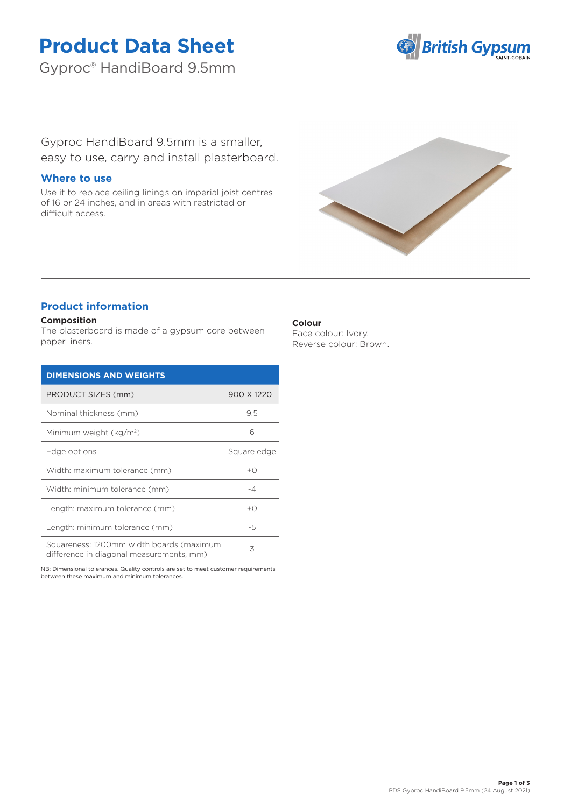# **Product Data Sheet**

Gyproc® HandiBoard 9.5mm



Gyproc HandiBoard 9.5mm is a smaller, easy to use, carry and install plasterboard.

## **Where to use**

Use it to replace ceiling linings on imperial joist centres of 16 or 24 inches, and in areas with restricted or difficult access.



## **Product information**

#### **Composition**

The plasterboard is made of a gypsum core between paper liners.

| <b>DIMENSIONS AND WEIGHTS</b>                                                        |                |
|--------------------------------------------------------------------------------------|----------------|
| PRODUCT SIZES (mm)                                                                   | 900 X 1220     |
| Nominal thickness (mm)                                                               | 9.5            |
| Minimum weight (kg/m <sup>2</sup> )                                                  | 6              |
| Edge options                                                                         | Square edge    |
| Width: maximum tolerance (mm)                                                        | $+$ $\cap$     |
| Width: minimum tolerance (mm)                                                        | -4             |
| Length: maximum tolerance (mm)                                                       | $+$ $\bigcirc$ |
| Length: minimum tolerance (mm)                                                       | -5             |
| Squareness: 1200mm width boards (maximum<br>difference in diagonal measurements, mm) | 3              |

NB: Dimensional tolerances. Quality controls are set to meet customer requirements between these maximum and minimum tolerances.

## **Colour**

Face colour: Ivory. Reverse colour: Brown.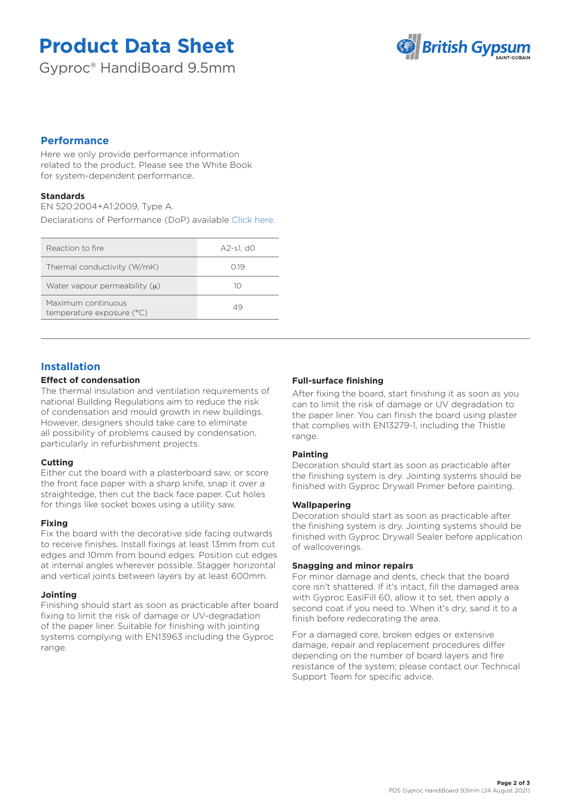# **Product Data Sheet**

Gyproc® HandiBoard 9.5mm



## **Performance**

Here we only provide performance information related to the product. Please see the White Book for system-dependent performance.

### **Standards**

EN 520:2004+A1:2009, Type A.

Declarations of Performance (DoP) available [Click here.](https://www.british-gypsum.com/DoP)

| Reaction to fire                                | A2-s1. d0 |
|-------------------------------------------------|-----------|
| Thermal conductivity (W/mK)                     | O 19      |
| Water vapour permeability $(u)$                 | 10        |
| Maximum continuous<br>temperature exposure (°C) | 49        |

## **Installation**

### **Effect of condensation**

The thermal insulation and ventilation requirements of national Building Regulations aim to reduce the risk of condensation and mould growth in new buildings. However, designers should take care to eliminate all possibility of problems caused by condensation, particularly in refurbishment projects.

### **Cutting**

Either cut the board with a plasterboard saw, or score the front face paper with a sharp knife, snap it over a straightedge, then cut the back face paper. Cut holes for things like socket boxes using a utility saw.

### **Fixing**

Fix the board with the decorative side facing outwards to receive finishes. Install fixings at least 13mm from cut edges and 10mm from bound edges. Position cut edges at internal angles wherever possible. Stagger horizontal and vertical joints between layers by at least 600mm.

### **Jointing**

Finishing should start as soon as practicable after board fixing to limit the risk of damage or UV-degradation of the paper liner. Suitable for finishing with jointing systems complying with EN13963 including the Gyproc range.

### **Full-surface finishing**

After fixing the board, start finishing it as soon as you can to limit the risk of damage or UV degradation to the paper liner. You can finish the board using plaster that complies with EN13279-1, including the Thistle range.

### **Painting**

Decoration should start as soon as practicable after the finishing system is dry. Jointing systems should be finished with Gyproc Drywall Primer before painting.

### **Wallpapering**

Decoration should start as soon as practicable after the finishing system is dry. Jointing systems should be finished with Gyproc Drywall Sealer before application of wallcoverings.

#### **Snagging and minor repairs**

For minor damage and dents, check that the board core isn't shattered. If it's intact, fill the damaged area with Gyproc EasiFill 60, allow it to set, then apply a second coat if you need to. When it's dry, sand it to a finish before redecorating the area.

For a damaged core, broken edges or extensive damage, repair and replacement procedures differ depending on the number of board layers and fire resistance of the system; please contact our Technical Support Team for specific advice.